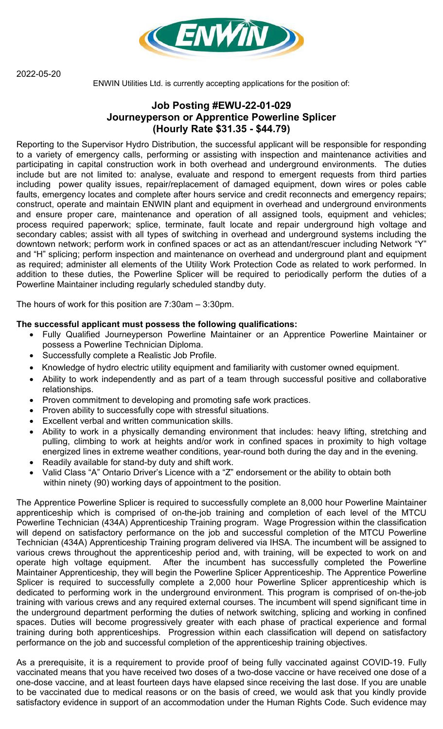2022-05-20



ENWIN Utilities Ltd. is currently accepting applications for the position of:

## **Job Posting #EWU-22-01-029 Journeyperson or Apprentice Powerline Splicer (Hourly Rate \$31.35 - \$44.79)**

Reporting to the Supervisor Hydro Distribution, the successful applicant will be responsible for responding to a variety of emergency calls, performing or assisting with inspection and maintenance activities and participating in capital construction work in both overhead and underground environments. The duties include but are not limited to: analyse, evaluate and respond to emergent requests from third parties including power quality issues, repair/replacement of damaged equipment, down wires or poles cable faults, emergency locates and complete after hours service and credit reconnects and emergency repairs; construct, operate and maintain ENWIN plant and equipment in overhead and underground environments and ensure proper care, maintenance and operation of all assigned tools, equipment and vehicles; process required paperwork; splice, terminate, fault locate and repair underground high voltage and secondary cables; assist with all types of switching in overhead and underground systems including the downtown network; perform work in confined spaces or act as an attendant/rescuer including Network "Y" and "H" splicing; perform inspection and maintenance on overhead and underground plant and equipment as required; administer all elements of the Utility Work Protection Code as related to work performed. In addition to these duties, the Powerline Splicer will be required to periodically perform the duties of a Powerline Maintainer including regularly scheduled standby duty.

The hours of work for this position are 7:30am – 3:30pm.

## **The successful applicant must possess the following qualifications:**

- Fully Qualified Journeyperson Powerline Maintainer or an Apprentice Powerline Maintainer or possess a Powerline Technician Diploma.
- Successfully complete a Realistic Job Profile.
- Knowledge of hydro electric utility equipment and familiarity with customer owned equipment.
- Ability to work independently and as part of a team through successful positive and collaborative relationships.
- Proven commitment to developing and promoting safe work practices.
- Proven ability to successfully cope with stressful situations.
- Excellent verbal and written communication skills.
- Ability to work in a physically demanding environment that includes: heavy lifting, stretching and pulling, climbing to work at heights and/or work in confined spaces in proximity to high voltage energized lines in extreme weather conditions, year-round both during the day and in the evening.
- Readily available for stand-by duty and shift work.
- Valid Class "A" Ontario Driver's Licence with a "Z" endorsement or the ability to obtain both within ninety (90) working days of appointment to the position.

The Apprentice Powerline Splicer is required to successfully complete an 8,000 hour Powerline Maintainer apprenticeship which is comprised of on-the-job training and completion of each level of the MTCU Powerline Technician (434A) Apprenticeship Training program. Wage Progression within the classification will depend on satisfactory performance on the job and successful completion of the MTCU Powerline Technician (434A) Apprenticeship Training program delivered via IHSA. The incumbent will be assigned to various crews throughout the apprenticeship period and, with training, will be expected to work on and operate high voltage equipment. After the incumbent has successfully completed the Powerline Maintainer Apprenticeship, they will begin the Powerline Splicer Apprenticeship. The Apprentice Powerline Splicer is required to successfully complete a 2,000 hour Powerline Splicer apprenticeship which is dedicated to performing work in the underground environment. This program is comprised of on-the-job training with various crews and any required external courses. The incumbent will spend significant time in the underground department performing the duties of network switching, splicing and working in confined spaces. Duties will become progressively greater with each phase of practical experience and formal training during both apprenticeships. Progression within each classification will depend on satisfactory performance on the job and successful completion of the apprenticeship training objectives.

As a prerequisite, it is a requirement to provide proof of being fully vaccinated against COVID-19. Fully vaccinated means that you have received two doses of a two-dose vaccine or have received one dose of a one-dose vaccine, and at least fourteen days have elapsed since receiving the last dose. If you are unable to be vaccinated due to medical reasons or on the basis of creed, we would ask that you kindly provide satisfactory evidence in support of an accommodation under the Human Rights Code. Such evidence may